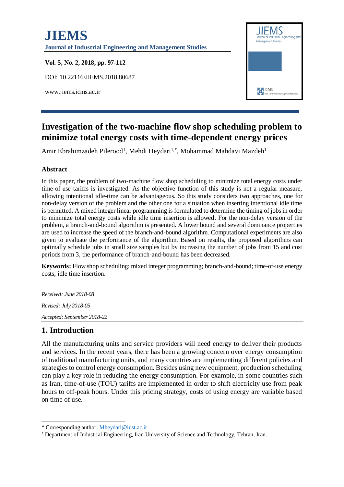# **JIEMS Journal of Industrial Engineering and Management Studies Vol. 5, No. 2, 2018, pp. 97-112** DOI: 10.22116/JIEMS.2018.80687 **EXP** ICMS www.jiems.icms.ac.ir

# **Investigation of the two-machine flow shop scheduling problem to minimize total energy costs with time-dependent energy prices**

Amir Ebrahimzadeh Pilerood<sup>1</sup>, Mehdi Heydari<sup>1,\*</sup>, Mohammad Mahdavi Mazdeh<sup>1</sup>

#### **Abstract**

In this paper, the problem of two-machine flow shop scheduling to minimize total energy costs under time-of-use tariffs is investigated. As the objective function of this study is not a regular measure, allowing intentional idle-time can be advantageous. So this study considers two approaches, one for non-delay version of the problem and the other one for a situation when inserting intentional idle time is permitted. A mixed integer linear programming is formulated to determine the timing of jobs in order to minimize total energy costs while idle time insertion is allowed. For the non-delay version of the problem, a branch-and-bound algorithm is presented. A lower bound and several dominance properties are used to increase the speed of the branch-and-bound algorithm. Computational experiments are also given to evaluate the performance of the algorithm. Based on results, the proposed algorithms can optimally schedule jobs in small size samples but by increasing the number of jobs from 15 and cost periods from 3, the performance of branch-and-bound has been decreased.

**Keywords:** Flow shop scheduling; mixed integer programming; branch-and-bound; time-of-use energy costs; idle time insertion.

*Received: June 2018-08 Revised: July 2018-05 Accepted: September 2018-22*

#### **1. Introduction**

All the manufacturing units and service providers will need energy to deliver their products and services. In the recent years, there has been a growing concern over energy consumption of traditional manufacturing units, and many countries are implementing different policies and strategies to control energy consumption. Besides using new equipment, production scheduling can play a key role in reducing the energy consumption. For example, in some countries such as Iran, time-of-use (TOU) tariffs are implemented in order to shift electricity use from peak hours to off-peak hours. Under this pricing strategy, costs of using energy are variable based on time of use.

<sup>-</sup>\* Corresponding author; [Mheydari@iust.ac.ir](mailto:Mheydari@iust.ac.ir)

<sup>1</sup> Department of Industrial Engineering, Iran University of Science and Technology, Tehran, Iran.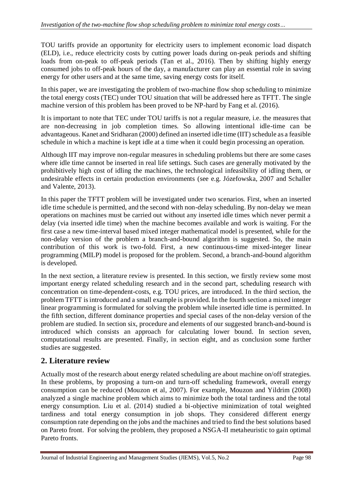TOU tariffs provide an opportunity for electricity users to implement economic load dispatch (ELD), i.e., reduce electricity costs by cutting power loads during on-peak periods and shifting loads from on-peak to off-peak periods (Tan et al., 2016). Then by shifting highly energy consumed jobs to off-peak hours of the day, a manufacturer can play an essential role in saving energy for other users and at the same time, saving energy costs for itself.

In this paper, we are investigating the problem of two-machine flow shop scheduling to minimize the total energy costs (TEC) under TOU situation that will be addressed here as TFTT. The single machine version of this problem has been proved to be NP-hard by Fang et al. (2016).

It is important to note that TEC under TOU tariffs is not a regular measure, i.e. the measures that are non-decreasing in job completion times. So allowing intentional idle-time can be advantageous. Kanet and Sridharan (2000) defined an inserted idle time (IIT) schedule as a feasible schedule in which a machine is kept idle at a time when it could begin processing an operation.

Although IIT may improve non-regular measures in scheduling problems but there are some cases where idle time cannot be inserted in real life settings. Such cases are generally motivated by the prohibitively high cost of idling the machines, the technological infeasibility of idling them, or undesirable effects in certain production environments (see e.g. Józefowska, 2007 and Schaller and Valente, 2013).

In this paper the TFTT problem will be investigated under two scenarios. First, when an inserted idle time schedule is permitted, and the second with non-delay scheduling. By non-delay we mean operations on machines must be carried out without any inserted idle times which never permit a delay (via inserted idle time) when the machine becomes available and work is waiting. For the first case a new time-interval based mixed integer mathematical model is presented, while for the non-delay version of the problem a branch-and-bound algorithm is suggested. So, the main contribution of this work is two-fold. First, a new continuous-time mixed-integer linear programming (MILP) model is proposed for the problem. Second, a branch-and-bound algorithm is developed.

In the next section, a literature review is presented. In this section, we firstly review some most important energy related scheduling research and in the second part, scheduling research with concentration on time-dependent-costs, e.g. TOU prices, are introduced. In the third section, the problem TFTT is introduced and a small example is provided. In the fourth section a mixed integer linear programming is formulated for solving the problem while inserted idle time is permitted. In the fifth section, different dominance properties and special cases of the non-delay version of the problem are studied. In section six, procedure and elements of our suggested branch-and-bound is introduced which consists an approach for calculating lower bound. In section seven, computational results are presented. Finally, in section eight, and as conclusion some further studies are suggested.

#### **2. Literature review**

Actually most of the research about energy related scheduling are about machine on/off strategies. In these problems, by proposing a turn-on and turn-off scheduling framework, overall energy consumption can be reduced (Mouzon et al, 2007). For example, Mouzon and Yildrim (2008) analyzed a single machine problem which aims to minimize both the total tardiness and the total energy consumption. Liu et al. (2014) studied a bi-objective minimization of total weighted tardiness and total energy consumption in job shops. They considered different energy consumption rate depending on the jobs and the machines and tried to find the best solutions based on Pareto front. For solving the problem, they proposed a NSGA-II metaheuristic to gain optimal Pareto fronts.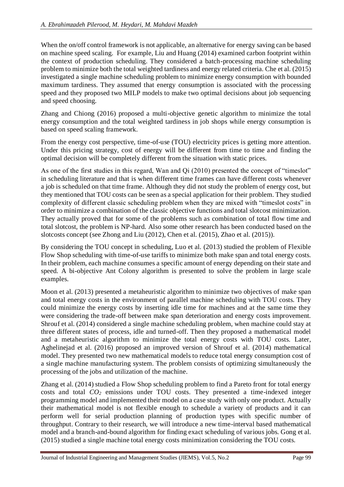When the on/off control framework is not applicable, an alternative for energy saving can be based on machine speed scaling. For example, Liu and Huang (2014) examined carbon footprint within the context of production scheduling. They considered a batch-processing machine scheduling problem to minimize both the total weighted tardiness and energy related criteria. Che et al. (2015) investigated a single machine scheduling problem to minimize energy consumption with bounded maximum tardiness. They assumed that energy consumption is associated with the processing speed and they proposed two MILP models to make two optimal decisions about job sequencing and speed choosing.

Zhang and Chiong (2016) proposed a multi-objective genetic algorithm to minimize the total energy consumption and the total weighted tardiness in job shops while energy consumption is based on speed scaling framework.

From the energy cost perspective, time-of-use (TOU) electricity prices is getting more attention. Under this pricing strategy, cost of energy will be different from time to time and finding the optimal decision will be completely different from the situation with static prices.

As one of the first studies in this regard, Wan and Qi (2010) presented the concept of "timeslot" in scheduling literature and that is when different time frames can have different costs whenever a job is scheduled on that time frame. Although they did not study the problem of energy cost, but they mentioned that TOU costs can be seen as a special application for their problem. They studied complexity of different classic scheduling problem when they are mixed with "timeslot costs" in order to minimize a combination of the classic objective functions and total slotcost minimization. They actually proved that for some of the problems such as combination of total flow time and total slotcost, the problem is NP-hard. Also some other research has been conducted based on the slotcosts concept (see Zhong and Liu (2012), Chen et al. (2015), Zhao et al. (2015)).

By considering the TOU concept in scheduling, Luo et al. (2013) studied the problem of Flexible Flow Shop scheduling with time-of-use tariffs to minimize both make span and total energy costs. In their problem, each machine consumes a specific amount of energy depending on their state and speed. A bi-objective Ant Colony algorithm is presented to solve the problem in large scale examples.

Moon et al. (2013) presented a metaheuristic algorithm to minimize two objectives of make span and total energy costs in the environment of parallel machine scheduling with TOU costs. They could minimize the energy costs by inserting idle time for machines and at the same time they were considering the trade-off between make span deterioration and energy costs improvement. Shrouf et al. (2014) considered a single machine scheduling problem, when machine could stay at three different states of process, idle and turned-off. Then they proposed a mathematical model and a metaheuristic algorithm to minimize the total energy costs with TOU costs. Later, Aghelinejad et al. (2016) proposed an improved version of Shrouf et al. (2014) mathematical model. They presented two new mathematical models to reduce total energy consumption cost of a single machine manufacturing system. The problem consists of optimizing simultaneously the processing of the jobs and utilization of the machine.

Zhang et al. (2014) studied a Flow Shop scheduling problem to find a Pareto front for total energy costs and total *CO<sup>2</sup>* emissions under TOU costs. They presented a time-indexed integer programming model and implemented their model on a case study with only one product. Actually their mathematical model is not flexible enough to schedule a variety of products and it can perform well for serial production planning of production types with specific number of throughput. Contrary to their research, we will introduce a new time-interval based mathematical model and a branch-and-bound algorithm for finding exact scheduling of various jobs. Gong et al. (2015) studied a single machine total energy costs minimization considering the TOU costs.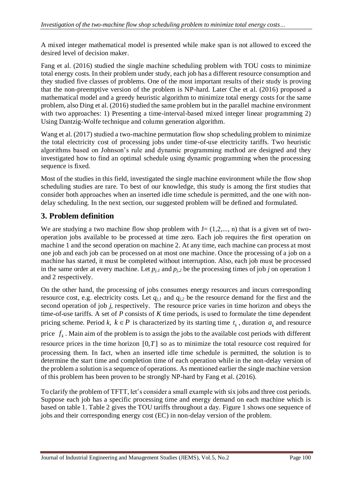A mixed integer mathematical model is presented while make span is not allowed to exceed the desired level of decision maker.

Fang et al. (2016) studied the single machine scheduling problem with TOU costs to minimize total energy costs. In their problem under study, each job has a different resource consumption and they studied five classes of problems. One of the most important results of their study is proving that the non-preemptive version of the problem is NP-hard. Later Che et al. (2016) proposed a mathematical model and a greedy heuristic algorithm to minimize total energy costs for the same problem, also Ding et al. (2016) studied the same problem but in the parallel machine environment with two approaches: 1) Presenting a time-interval-based mixed integer linear programming 2) Using Dantzig-Wolfe technique and column generation algorithm.

Wang et al. (2017) studied a two-machine permutation flow shop scheduling problem to minimize the total electricity cost of processing jobs under time-of-use electricity tariffs. Two heuristic algorithms based on Johnson's rule and dynamic programming method are designed and they investigated how to find an optimal schedule using dynamic programming when the processing sequence is fixed.

Most of the studies in this field, investigated the single machine environment while the flow shop scheduling studies are rare. To best of our knowledge, this study is among the first studies that consider both approaches when an inserted idle time schedule is permitted, and the one with nondelay scheduling. In the next section, our suggested problem will be defined and formulated.

## **3. Problem definition**

We are studying a two machine flow shop problem with  $J=(1,2,..., n)$  that is a given set of twooperation jobs available to be processed at time zero. Each job requires the first operation on machine 1 and the second operation on machine 2. At any time, each machine can process at most one job and each job can be processed on at most one machine. Once the processing of a job on a machine has started, it must be completed without interruption. Also, each job must be processed in the same order at every machine. Let  $p_{j,l}$  and  $p_{j,2}$  be the processing times of job *j* on operation 1 and 2 respectively.

On the other hand, the processing of jobs consumes energy resources and incurs corresponding resource cost, e.g. electricity costs. Let  $q_{j,l}$  and  $q_{j,2}$  be the resource demand for the first and the second operation of job *j*, respectively. The resource price varies in time horizon and obeys the time-of-use tariffs. A set of *P* consists of *K* time periods, is used to formulate the time dependent pricing scheme. Period  $k, k \in P$  is characterized by its starting time  $t_k$ , duration  $a_k$  and resource price  $f_k$ . Main aim of the problem is to assign the jobs to the available cost periods with different resource prices in the time horizon  $[0, T]$  so as to minimize the total resource cost required for processing them. In fact, when an inserted idle time schedule is permitted, the solution is to determine the start time and completion time of each operation while in the non-delay version of the problem a solution is a sequence of operations. As mentioned earlier the single machine version of this problem has been proven to be strongly NP-hard by Fang et al. (2016).

To clarify the problem of TFTT, let's consider a small example with six jobs and three cost periods. Suppose each job has a specific processing time and energy demand on each machine which is based on table 1. Table 2 gives the TOU tariffs throughout a day. Figure 1 shows one sequence of jobs and their corresponding energy cost (EC) in non-delay version of the problem.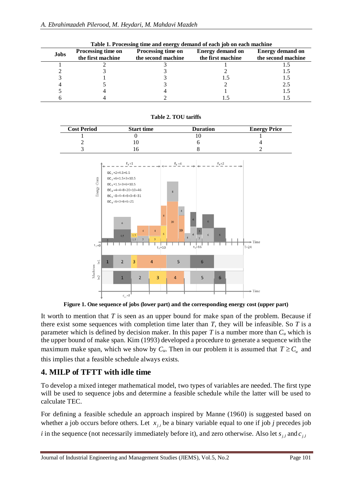|  | Table 1. I rocessing three and energy demand of each job on each machine |                    |                           |                         |                         |  |  |  |  |
|--|--------------------------------------------------------------------------|--------------------|---------------------------|-------------------------|-------------------------|--|--|--|--|
|  | <b>Jobs</b>                                                              | Processing time on | <b>Processing time on</b> | <b>Energy demand on</b> | <b>Energy demand on</b> |  |  |  |  |
|  |                                                                          | the first machine  | the second machine        | the first machine       | the second machine      |  |  |  |  |
|  |                                                                          |                    |                           |                         |                         |  |  |  |  |
|  |                                                                          |                    |                           |                         |                         |  |  |  |  |
|  |                                                                          |                    |                           |                         |                         |  |  |  |  |
|  |                                                                          |                    |                           |                         | 2.5                     |  |  |  |  |
|  |                                                                          |                    |                           |                         | 1.5                     |  |  |  |  |
|  |                                                                          |                    |                           |                         |                         |  |  |  |  |
|  |                                                                          |                    |                           |                         |                         |  |  |  |  |

**Table 2. TOU tariffs**

**Table 1. Processing time and energy demand of each job on each machine**



**Figure 1. One sequence of jobs (lower part) and the corresponding energy cost (upper part)**

It worth to mention that *T* is seen as an upper bound for make span of the problem. Because if there exist some sequences with completion time later than *T*, they will be infeasible. So *T* is a parameter which is defined by decision maker. In this paper *T* is a number more than  $C<sub>u</sub>$  which is the upper bound of make span. Kim (1993) developed a procedure to generate a sequence with the maximum make span, which we show by  $C_u$ . Then in our problem it is assumed that  $T \ge C_u$  and this implies that a feasible schedule always exists.

## **4. MILP of TFTT with idle time**

To develop a mixed integer mathematical model, two types of variables are needed. The first type will be used to sequence jobs and determine a feasible schedule while the latter will be used to calculate TEC.

For defining a feasible schedule an approach inspired by Manne (1960) is suggested based on whether a job occurs before others. Let  $x_{j,i}$  be a binary variable equal to one if job *j* precedes job

*i* in the sequence (not necessarily immediately before it), and zero otherwise. Also let  $s_{j,l}$  and  $c_{j,l}$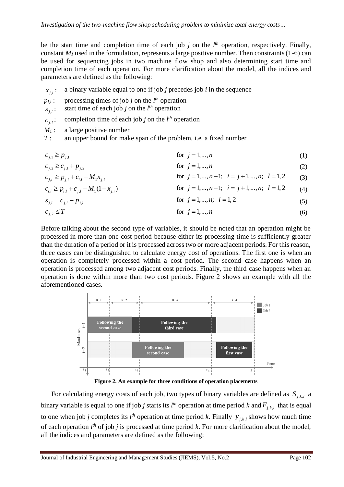be the start time and completion time of each job  $j$  on the  $l<sup>th</sup>$  operation, respectively. Finally, constant  $M<sub>1</sub>$  used in the formulation, represents a large positive number. Then constraints (1-6) can be used for sequencing jobs in two machine flow shop and also determining start time and completion time of each operation. For more clarification about the model, all the indices and parameters are defined as the following:

- $x_{j,i}$ : a binary variable equal to one if job *j* precedes job *i* in the sequence
- $p_{j,l}$ : processing times of job *j* on the  $l^{th}$  operation
- $s_{j,l}$ : start time of each job *j* on the *l th* operation
- $c_{\scriptscriptstyle{j,l}}$ : completion time of each job *j* on the *l th* operation
- $M_1$ : a large positive number

*T* : an upper bound for make span of the problem, i.e. a fixed number

- $c_{i,1} \geq p_{i,1}$ for  $j = 1, ..., n$ (1)
- for  $j = 1, ..., n$ (2)  $c_{i,2} \geq c_{i,1} + p_{i,2}$ (3)  $c_{j,l} \ge p_{j,l} + c_{i,l} - M_1 x_{j,i}$  for  $j = 1,...,n-1; i = j+1,...,n; l = 1,2$

$$
c_{i,l} \ge p_{i,l} + c_{j,l} - M_1(1 - x_{j,i})
$$
 for  $j = 1,...,n-1$ ;  $i = j+1,...,n$ ;  $l = 1,2$  (4)  
for  $j = 1,...,n$ ;  $l = 1,2$  (5)

$$
c_{j,2} \le T \qquad \text{for } j = 1,\dots,n \tag{6}
$$

Before talking about the second type of variables, it should be noted that an operation might be processed in more than one cost period because either its processing time is sufficiently greater than the duration of a period or it is processed across two or more adjacent periods. For this reason, three cases can be distinguished to calculate energy cost of operations. The first one is when an operation is completely processed within a cost period. The second case happens when an operation is processed among two adjacent cost periods. Finally, the third case happens when an operation is done within more than two cost periods. Figure 2 shows an example with all the aforementioned cases.



**Figure 2. An example for three conditions of operation placements**

For calculating energy costs of each job, two types of binary variables are defined as  $S_{j,k,l}$  a binary variable is equal to one if job *j* starts its  $l^{th}$  operation at time period *k* and  $F_{j,k,l}$  that is equal to one when job *j* completes its  $l^{th}$  operation at time period *k*. Finally  $y_{j,k,l}$  shows how much time of each operation *l th* of job *j* is processed at time period *k*. For more clarification about the model, all the indices and parameters are defined as the following: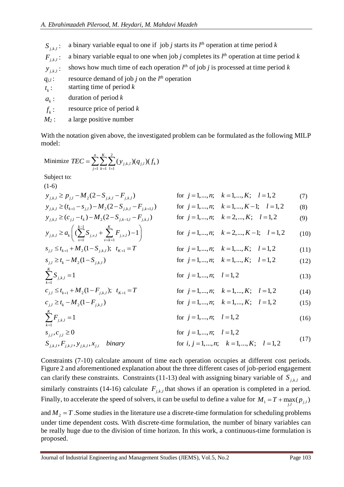$S_{j,k,l}$ : a binary variable equal to one if job *j* starts its *l th* operation at time period *k*  $F_{i k l}$  : : a binary variable equal to one when job *j* completes its *l th* operation at time period *k*  $y_{j,k,l}$ : shows how much time of each operation  $l^{th}$  of job *j* is processed at time period *k*  $q_{j,l}$ : resource demand of job *j* on the  $l^{th}$  operation *k t* : starting time of period *k*  $a_{k}$ duration of period *k*  $f_{k}$ : resource price of period *k M<sup>2</sup>* : a large positive number

With the notation given above, the investigated problem can be formulated as the following MILP model:

Minimize 
$$
TEC = \sum_{j=1}^{n} \sum_{k=1}^{K} \sum_{l=1}^{2} (y_{j,k,l})(q_{j,l})(f_k)
$$
  
\nSubject to:  
\n(1-6)  
\n $y_{j,k,l} \ge p_{j,l} - M_2(2 - S_{j,k,l} - F_{j,k,l})$  for  $j = 1,...,n$ ;  $k = 1,...,K$ ;  $l = 1,2$  (7)  
\n $y_{j,k,l} \ge (c_{j,l} - t_k) - M_2(2 - S_{j,k,l} - F_{j,k,l,l})$  for  $j = 1,...,n$ ;  $k = 1,...,K$ ;  $l = 1,2$  (8)  
\n $y_{j,k,l} \ge a_k \left( (\sum_{y=1}^{k-1} S_{j,y,l} + \sum_{y=k+1}^{K} F_{j,y,l}) - 1 \right)$  for  $j = 1,...,n$ ;  $k = 2,...,K$ ;  $l = 1,2$  (9)  
\n $y_{j,k,l} \ge a_k \left( (\sum_{y=1}^{k-1} S_{j,y,l} + \sum_{y=k+1}^{K} F_{j,y,l}) - 1 \right)$  for  $j = 1,...,n$ ;  $k = 2,...,K - 1$ ;  $l = 1,2$  (10)  
\n $s_{j,l} \le t_{k+1} + M_2(1 - S_{j,k,l})$ ;  $t_{K+1} = T$  for  $j = 1,...,n$ ;  $k = 1,...,K$ ;  $l = 1,2$  (12)  
\n $\sum_{k=1}^{K} S_{j,k,l} = 1$  for  $j = 1,...,n$ ;  $k = 1,...,K$ ;  $l = 1,2$  (13)  
\n $c_{j,l} \ge t_{k-1} + M_2(1 - F_{j,k,l})$ ;  $t_{K+1} = T$  for  $j = 1,...,n$ ;  $k = 1,...,K$ ;  $l = 1,2$  (14)  
\n $c_{j,l} \ge t_k - M_2(1 - F_{j,k,l})$  for  $j = 1,...,n$ ;  $k = 1,...,K$ ;  $l = 1,2$  (15)  
\n

Constraints (7-10) calculate amount of time each operation occupies at different cost periods. Figure 2 and aforementioned explanation about the three different cases of job-period engagement can clarify these constraints. Constraints (11-13) deal with assigning binary variable of  $S_{j,k,l}$  and similarly constraints (14-16) calculate  $F_{j,k,l}$  that shows if an operation is completed in a period. Finally, to accelerate the speed of solvers, it can be useful to define a value for  $M_1 = T + \max_{j,l} (p_{j,l})$ 

and  $M_2 = T$ . Some studies in the literature use a discrete-time formulation for scheduling problems under time dependent costs. With discrete-time formulation, the number of binary variables can be really huge due to the division of time horizon. In this work, a continuous-time formulation is proposed.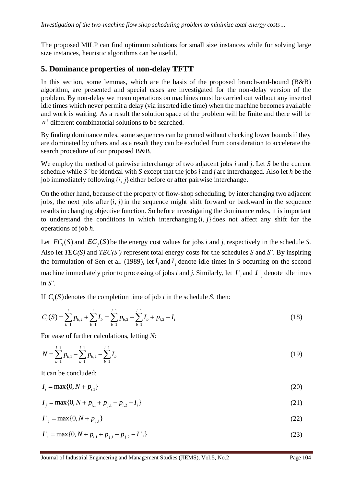The proposed MILP can find optimum solutions for small size instances while for solving large size instances, heuristic algorithms can be useful.

## **5. Dominance properties of non-delay TFTT**

In this section, some lemmas, which are the basis of the proposed branch-and-bound (B&B) algorithm, are presented and special cases are investigated for the non-delay version of the problem. By non-delay we mean operations on machines must be carried out without any inserted idle times which never permit a delay (via inserted idle time) when the machine becomes available and work is waiting. As a result the solution space of the problem will be finite and there will be *<sup>n</sup>*! different combinatorial solutions to be searched.

By finding dominance rules, some sequences can be pruned without checking lower bounds if they are dominated by others and as a result they can be excluded from consideration to accelerate the search procedure of our proposed B&B.

We employ the method of pairwise interchange of two adjacent jobs *i* and *j*. Let *S* be the current schedule while *S'* be identical with *S* except that the jobs *i* and *j* are interchanged. Also let *h* be the job immediately following  $\{i, j\}$  either before or after pairwise interchange.

On the other hand, because of the property of flow-shop scheduling, by interchanging two adjacent jobs, the next jobs after  $\{i, j\}$  in the sequence might shift forward or backward in the sequence results in changing objective function. So before investigating the dominance rules, it is important to understand the conditions in which interchanging  $\{i, j\}$  does not affect any shift for the operations of job *h*.

Let  $EC_i(S)$  and  $EC_j(S)$  be the energy cost values for jobs *i* and *j*, respectively in the schedule *S*. Also let *TEC(S)* and *TEC(S')* represent total energy costs for the schedules *S* and *S'*. By inspiring the formulation of Sen et al. (1989), let  $I_i$  and  $I_j$  denote idle times in *S* occurring on the second machine immediately prior to processing of jobs *i* and *j*. Similarly, let  $I'$ <sub>*i*</sub> and  $I'$ <sub>*j*</sub> denote idle times in *S'*.

If  $C_i(S)$  denotes the completion time of job *i* in the schedule *S*, then:

$$
C_i(S) = \sum_{b=1}^i p_{b,2} + \sum_{b=1}^i I_b = \sum_{b=1}^{i-1} p_{b,2} + \sum_{b=1}^{i-1} I_b + p_{i,2} + I_i
$$
\n(18)

For ease of further calculations, letting *N*:

$$
N = \sum_{b=1}^{i-1} p_{b,1} - \sum_{b=1}^{i-1} p_{b,2} - \sum_{b=1}^{i-1} I_b
$$
 (19)

It can be concluded:

$$
I_i = \max\{0, N + p_{i,1}\}\tag{20}
$$

$$
I_j = \max\{0, N + p_{i,1} + p_{j,1} - p_{i,2} - I_i\}
$$
\n(21)

$$
I'_{j} = \max\{0, N + p_{j,1}\}\tag{22}
$$

$$
I'_{i} = \max\{0, N + p_{i,1} + p_{j,1} - p_{j,2} - I'_{j}\}\
$$
\n(23)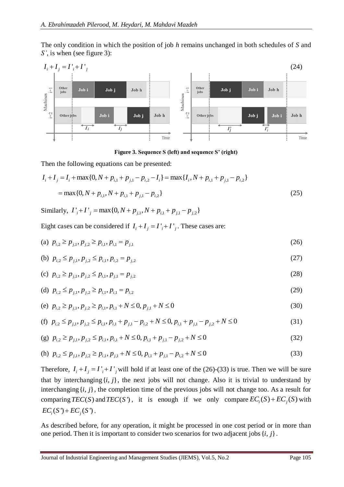The only condition in which the position of job *h* remains unchanged in both schedules of *S* and *S'*, is when (see figure 3):



**Figure 3. Sequence S (left) and sequence S' (right)**

Then the following equations can be presented:

$$
I_i + I_j = I_i + \max\{0, N + p_{i,1} + p_{j,1} - p_{i,2} - I_i\} = \max\{I_i, N + p_{i,1} + p_{j,1} - p_{i,2}\}\
$$
  
=  $\max\{0, N + p_{i,1}, N + p_{i,1} + p_{j,1} - p_{i,2}\}$  (25)

 $-$  max{0,  $N + P_{i,1}$ ,  $N + P_{i,1} + P_{j,1} - P_{i,2}$ }<br>Similarly,  $I'_{i} + I'_{j} = \max\{0, N + p_{j,1}, N + p_{i,1} + p_{j,1} - p_{j,2}\}$ 

Eight cases can be considered if  $I_i + I_j = I_i + I_j$ . These cases are:

(a) 
$$
p_{i,2} \ge p_{j,1}, p_{j,2} \ge p_{i,1}, p_{i,1} = p_{j,1}
$$
 (26)

(b) 
$$
p_{i,2} \leq p_{j,1}, p_{j,2} \leq p_{i,1}, p_{i,2} = p_{j,2}
$$
 (27)

(c) 
$$
p_{i,2} \ge p_{j,1}, p_{j,2} \le p_{i,1}, p_{j,1} = p_{j,2}
$$
 (28)

(d) 
$$
p_{i,2} \leq p_{j,1}, p_{j,2} \geq p_{i,1}, p_{i,1} = p_{i,2}
$$
 (29)

(e) 
$$
p_{i,2} \ge p_{j,1}, p_{j,2} \ge p_{i,1}, p_{i,1} + N \le 0, p_{j,1} + N \le 0
$$
 (30)

(f) 
$$
p_{i,2} \le p_{j,1}, p_{j,2} \le p_{i,1}, p_{i,1} + p_{j,1} - p_{i,2} + N \le 0, p_{i,1} + p_{j,1} - p_{j,2} + N \le 0
$$
 (31)

(g) 
$$
p_{i,2} \ge p_{j,1}, p_{j,2} \le p_{i,1}, p_{i,1} + N \le 0, p_{i,1} + p_{j,1} - p_{j,2} + N \le 0
$$
 (32)

(h) 
$$
p_{i,2} \le p_{j,1}, p_{j,2} \ge p_{i,1}, p_{j,1} + N \le 0, p_{i,1} + p_{j,1} - p_{i,2} + N \le 0
$$
 (33)

Therefore,  $I_i + I_j = I'_i + I'_j$  will hold if at least one of the (26)-(33) is true. Then we will be sure that by interchanging  $\{i, j\}$ , the next jobs will not change. Also it is trivial to understand by interchanging  $\{i, j\}$ , the completion time of the previous jobs will not change too. As a result for comparing  $TEC(S)$  and  $TEC(S')$ , it is enough if we only compare  $EC<sub>i</sub>(S) + EC<sub>j</sub>(S)$  with  $EC_i(S') + EC_i(S')$ .

As described before, for any operation, it might be processed in one cost period or in more than one period. Then it is important to consider two scenarios for two adjacent jobs  $\{i, j\}$ .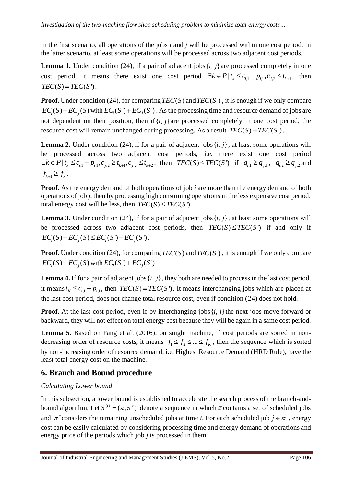In the first scenario, all operations of the jobs *i* and *j* will be processed within one cost period. In the latter scenario, at least some operations will be processed across two adjacent cost periods.

**Lemma 1.** Under condition (24), if a pair of adjacent jobs  $\{i, j\}$  are processed completely in one cost period, it means there exist one cost period  $\exists k \in P | t_k \le c_{i,1} - p_{i,1}, c_{j,2} \le t_{k+1}$ , then  $TEC(S) = TEC(S')$ .

**Proof.** Under condition (24), for comparing  $TEC(S)$  and  $TEC(S')$ , it is enough if we only compare  $EC_i(S) + EC_j(S)$  with  $EC_i(S') + EC_j(S')$ . As the processing time and resource demand of jobs are not dependent on their position, then if  $\{i, j\}$  are processed completely in one cost period, the resource cost will remain unchanged during processing. As a result  $TEC(S) = TEC(S')$ .

**Lemma 2.** Under condition (24), if for a pair of adjacent jobs  $\{i, j\}$ , at least some operations will be processed across two adjacent cost periods, i.e. there exist one cost period  $\exists k \in P \mid t_k \leq c_{i,1} - p_{i,1}, c_{j,2} \geq t_{k+1}, c_{j,2} \leq t_{k+2},$  then  $TEC(S) \leq TEC(S')$  if  $q_{i,1} \geq q_{j,1}, q_{i,2} \geq q_{j,2}$  and  $f_{k+1} \geq f_k$ .

**Proof.** As the energy demand of both operations of job *i* are more than the energy demand of both operations of job *j*, then by processing high consuming operations in the less expensive cost period, total energy cost will be less, then  $TEC(S) \leq TEC(S')$ .

**Lemma 3.** Under condition (24), if for a pair of adjacent jobs  $\{i, j\}$ , at least some operations will be processed across two adjacent cost periods, then  $TEC(S) \leq TEC(S')$  if and only if  $EC_i(S) + EC_i(S) \leq EC_i(S') + EC_i(S')$ .

**Proof.** Under condition (24), for comparing  $TEC(S)$  and  $TEC(S')$ , it is enough if we only compare  $EC_i(S) + EC_j(S)$  with  $EC_i(S') + EC_j(S')$ .

**Lemma 4.** If for a pair of adjacent jobs  $\{i, j\}$ , they both are needed to process in the last cost period, it means  $t_K \leq c_{i,1} - p_{i,1}$ , then  $TEC(S) = TEC(S')$ . It means interchanging jobs which are placed at the last cost period, does not change total resource cost, even if condition (24) does not hold.

**Proof.** At the last cost period, even if by interchanging jobs  $\{i, j\}$  the next jobs move forward or backward, they will not effect on total energy cost because they will be again in a same cost period.

Lemma 5. Based on Fang et al. (2016), on single machine, if cost periods are sorted in nondecreasing order of resource costs, it means  $f_1 \le f_2 \le ... \le f_k$ , then the sequence which is sorted by non-increasing order of resource demand, i.e. Highest Resource Demand (HRD Rule), have the least total energy cost on the machine.

#### **6. Branch and Bound procedure**

#### *Calculating Lower bound*

In this subsection, a lower bound is established to accelerate the search process of the branch-andbound algorithm. Let  $S^{(t)} = (\pi, \pi^c)$  denote a sequence in which  $\pi$  contains a set of scheduled jobs and  $\pi^c$  considers the remaining unscheduled jobs at time *t*. For each scheduled job  $j \in \pi$ , energy cost can be easily calculated by considering processing time and energy demand of operations and energy price of the periods which job *j* is processed in them.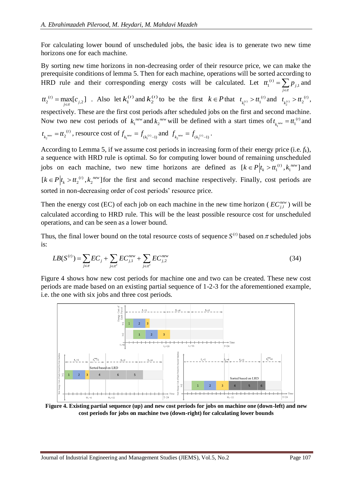For calculating lower bound of unscheduled jobs, the basic idea is to generate two new time horizons one for each machine.

By sorting new time horizons in non-decreasing order of their resource price, we can make the prerequisite conditions of lemma 5. Then for each machine, operations will be sorted according to HRD rule and their corresponding energy costs will be calculated. Let  $t_i^{(i)} = \sum p_{i,i}$  and

 $C_2^{(t)} = \max_{j \in \pi} [c_{j,2}]$  $t_{2}^{c}$  = max<sub>l</sub> $c$  $=\max_{i \in \pi} [c_{i,2}]$ . Also let  $k_1^{(t)}$  and  $k_2^{(t)}$  to be the first  $k \in P$  that  $t_{k_1^{(t)}}$  $t_1$  >  $tt_1^{(t)}$  $t_{k_1^{(t)}} > t t_1^{(t)}$  and  $t_{k_2^{(t)}}$  $t_1$  >  $tt_2^{(t)}$  $t_{k_2^{(t)}} > t t_2^{(t)},$ 

respectively. These are the first cost periods after scheduled jobs on the first and second machine. Now two new cost periods of  $k_1^{\text{new}}$  and  $k_2^{\text{new}}$  will be defined with a start times of  $t_{k_1}$  $\theta_{\text{new}} = t t_1^{(t)}$  $t_{k_1}^{\phantom{m}new} = t t_1^{(t)}$  and

$$
t_{k_2^{\text{new}}} = tt_2^{(t)}, \text{ resource cost of } f_{k_1^{\text{new}}} = f_{(k_1^{(t)}-1)} \text{ and } f_{k_2^{\text{new}}} = f_{(k_2^{(t)}-1)}.
$$

According to Lemma 5, if we assume cost periods in increasing form of their energy price (i.e. *fk*), a sequence with HRD rule is optimal. So for computing lower bound of remaining unscheduled jobs on each machine, two new time horizons are defined as  $[k \in P | t_k > t t_1^{(t)}, k_1^{new}]$  and  $[k \in P | t_k > t t_2^{(i)}, k_2^{new}]$  for the first and second machine respectively. Finally, cost periods are sorted in non-decreasing order of cost periods' resource price.

Then the energy cost (EC) of each job on each machine in the new time horizon ( $EC_{j,l}^{new}$ ) will be calculated according to HRD rule. This will be the least possible resource cost for unscheduled operations, and can be seen as a lower bound.

Thus, the final lower bound on the total resource costs of sequence  $S^{(t)}$  based on  $\pi$  scheduled jobs is:

$$
LB(S^{(t)}) = \sum_{j \in \pi} EC_j + \sum_{j \in \pi^c} EC_{j,1}^{new} + \sum_{j \in \pi^c} EC_{j,2}^{new}
$$
\n(34)

Figure 4 shows how new cost periods for machine one and two can be created. These new cost periods are made based on an existing partial sequence of 1-2-3 for the aforementioned example, i.e. the one with six jobs and three cost periods.



**Figure 4. Existing partial sequence (up) and new cost periods for jobs on machine one (down-left) and new cost periods for jobs on machine two (down-right) for calculating lower bounds**

*j*  $\epsilon$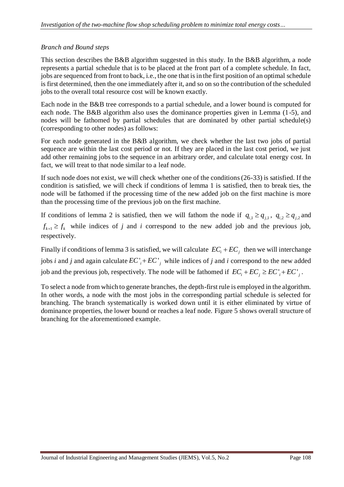#### *Branch and Bound steps*

This section describes the B&B algorithm suggested in this study. In the B&B algorithm, a node represents a partial schedule that is to be placed at the front part of a complete schedule. In fact, jobs are sequenced from front to back, i.e., the one that is in the first position of an optimal schedule is first determined, then the one immediately after it, and so on so the contribution of the scheduled jobs to the overall total resource cost will be known exactly.

Each node in the B&B tree corresponds to a partial schedule, and a lower bound is computed for each node. The B&B algorithm also uses the dominance properties given in Lemma (1-5), and nodes will be fathomed by partial schedules that are dominated by other partial schedule(s) (corresponding to other nodes) as follows:

For each node generated in the B&B algorithm, we check whether the last two jobs of partial sequence are within the last cost period or not. If they are placed in the last cost period, we just add other remaining jobs to the sequence in an arbitrary order, and calculate total energy cost. In fact, we will treat to that node similar to a leaf node.

If such node does not exist, we will check whether one of the conditions(26-33) is satisfied. If the condition is satisfied, we will check if conditions of lemma 1 is satisfied, then to break ties, the node will be fathomed if the processing time of the new added job on the first machine is more than the processing time of the previous job on the first machine.

If conditions of lemma 2 is satisfied, then we will fathom the node if  $q_{i,1} \ge q_{j,1}$ ,  $q_{i,2} \ge q_{j,2}$  and  $f_{k+1} \ge f_k$  while indices of *j* and *i* correspond to the new added job and the previous job, respectively.

Finally if conditions of lemma 3 is satisfied, we will calculate  $EC_i + EC_j$  then we will interchange jobs *i* and *j* and again calculate  $EC'_{i} + EC'_{j}$  while indices of *j* and *i* correspond to the new added job and the previous job, respectively. The node will be fathomed if  $EC_i + EC_j \geq EC_i + EC_j$ .

To select a node from which to generate branches, the depth-first rule is employed in the algorithm. In other words, a node with the most jobs in the corresponding partial schedule is selected for branching. The branch systematically is worked down until it is either eliminated by virtue of dominance properties, the lower bound or reaches a leaf node. Figure 5 shows overall structure of branching for the aforementioned example.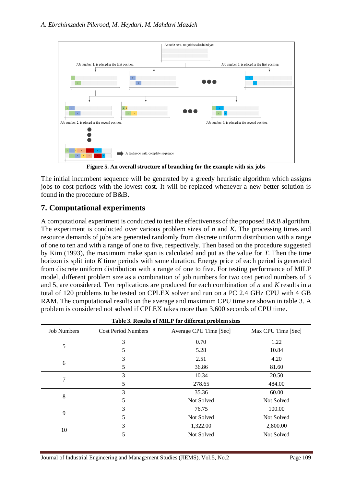

**Figure 5. An overall structure of branching for the example with six jobs**

The initial incumbent sequence will be generated by a greedy heuristic algorithm which assigns jobs to cost periods with the lowest cost. It will be replaced whenever a new better solution is found in the procedure of B&B.

#### **7. Computational experiments**

A computational experiment is conducted to test the effectiveness of the proposed B&B algorithm. The experiment is conducted over various problem sizes of *n* and *K*. The processing times and resource demands of jobs are generated randomly from discrete uniform distribution with a range of one to ten and with a range of one to five, respectively. Then based on the procedure suggested by Kim (1993), the maximum make span is calculated and put as the value for *T*. Then the time horizon is split into *K* time periods with same duration. Energy price of each period is generated from discrete uniform distribution with a range of one to five. For testing performance of MILP model, different problem size as a combination of job numbers for two cost period numbers of 3 and 5, are considered. Ten replications are produced for each combination of *n* and *K* results in a total of 120 problems to be tested on CPLEX solver and run on a PC 2.4 GHz CPU with 4 GB RAM. The computational results on the average and maximum CPU time are shown in table 3. A problem is considered not solved if CPLEX takes more than 3,600 seconds of CPU time.

| Table 3. Results of MILP for different problem sizes |                            |                        |                    |  |  |  |  |  |
|------------------------------------------------------|----------------------------|------------------------|--------------------|--|--|--|--|--|
| <b>Job Numbers</b>                                   | <b>Cost Period Numbers</b> | Average CPU Time [Sec] | Max CPU Time [Sec] |  |  |  |  |  |
|                                                      | 3                          | 0.70                   | 1.22               |  |  |  |  |  |
| 5                                                    | 5                          | 5.28                   | 10.84              |  |  |  |  |  |
|                                                      | 3                          | 2.51                   | 4.20               |  |  |  |  |  |
| 6                                                    | 5                          | 36.86                  | 81.60              |  |  |  |  |  |
| 7                                                    | 3                          | 10.34                  | 20.50              |  |  |  |  |  |
|                                                      | 5                          | 278.65                 | 484.00             |  |  |  |  |  |
|                                                      | 3                          | 35.36                  | 60.00              |  |  |  |  |  |
| 8                                                    | 5                          | Not Solved             | Not Solved         |  |  |  |  |  |
|                                                      | 3                          | 76.75                  | 100.00             |  |  |  |  |  |
| 9                                                    | 5                          | Not Solved             | Not Solved         |  |  |  |  |  |
|                                                      | 3                          | 1,322.00               | 2,800.00           |  |  |  |  |  |
| 10                                                   | 5                          | Not Solved             | Not Solved         |  |  |  |  |  |
|                                                      |                            |                        |                    |  |  |  |  |  |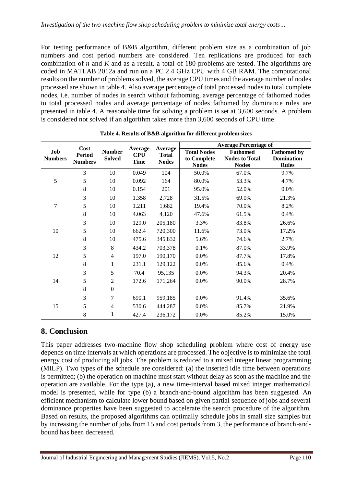For testing performance of B&B algorithm, different problem size as a combination of job numbers and cost period numbers are considered. Ten replications are produced for each combination of *n* and *K* and as a result, a total of 180 problems are tested. The algorithms are coded in MATLAB 2012a and run on a PC 2.4 GHz CPU with 4 GB RAM. The computational results on the number of problems solved, the average CPU times and the average number of nodes processed are shown in table 4. Also average percentage of total processed nodes to total complete nodes, i.e. number of nodes in search without fathoming, average percentage of fathomed nodes to total processed nodes and average percentage of nodes fathomed by dominance rules are presented in table 4. A reasonable time for solving a problem is set at 3,600 seconds. A problem is considered not solved if an algorithm takes more than 3,600 seconds of CPU time.

|                       | Cost<br><b>Period</b><br><b>Numbers</b> | <b>Number</b><br><b>Solved</b> | Average<br><b>CPU</b><br><b>Time</b> | Average<br><b>Total</b><br><b>Nodes</b> | <b>Average Percentage of</b>                      |                                                          |                                                         |
|-----------------------|-----------------------------------------|--------------------------------|--------------------------------------|-----------------------------------------|---------------------------------------------------|----------------------------------------------------------|---------------------------------------------------------|
| Job<br><b>Numbers</b> |                                         |                                |                                      |                                         | <b>Total Nodes</b><br>to Complete<br><b>Nodes</b> | <b>Fathomed</b><br><b>Nodes to Total</b><br><b>Nodes</b> | <b>Fathomed by</b><br><b>Domination</b><br><b>Rules</b> |
|                       | 3                                       | 10                             | 0.049                                | 104                                     | 50.0%                                             | 67.0%                                                    | 9.7%                                                    |
| 5                     | 5                                       | 10                             | 0.092                                | 164                                     | 80.0%                                             | 53.3%                                                    | 4.7%                                                    |
|                       | 8                                       | 10                             | 0.154                                | 201                                     | 95.0%                                             | 52.0%                                                    | 0.0%                                                    |
|                       | 3                                       | 10                             | 1.358                                | 2,728                                   | 31.5%                                             | 69.0%                                                    | 21.3%                                                   |
| 7                     | 5                                       | 10                             | 1.211                                | 1,682                                   | 19.4%                                             | 70.0%                                                    | 8.2%                                                    |
|                       | $8\,$                                   | 10                             | 4.063                                | 4,120                                   | 47.6%                                             | 61.5%                                                    | 0.4%                                                    |
|                       | 3                                       | 10                             | 129.0                                | 205,180                                 | 3.3%                                              | 83.8%                                                    | 26.6%                                                   |
| 10                    | 5                                       | 10                             | 662.4                                | 720,300                                 | 11.6%                                             | 73.0%                                                    | 17.2%                                                   |
|                       | 8                                       | 10                             | 475.6                                | 345,832                                 | 5.6%                                              | 74.6%                                                    | 2.7%                                                    |
|                       | 3                                       | 8                              | 434.2                                | 703,378                                 | 0.1%                                              | 87.0%                                                    | 33.9%                                                   |
| 12                    | 5                                       | $\overline{4}$                 | 197.0                                | 190,170                                 | 0.0%                                              | 87.7%                                                    | 17.8%                                                   |
|                       | 8                                       | 1                              | 231.1                                | 129,122                                 | 0.0%                                              | 85.6%                                                    | 0.4%                                                    |
|                       | 3                                       | 5                              | 70.4                                 | 95,135                                  | 0.0%                                              | 94.3%                                                    | 20.4%                                                   |
| 14                    | 5                                       | 2                              | 172.6                                | 171,264                                 | 0.0%                                              | 90.0%                                                    | 28.7%                                                   |
|                       | 8                                       | $\Omega$                       |                                      |                                         |                                                   |                                                          |                                                         |
|                       | 3                                       | $\overline{7}$                 | 690.1                                | 959,185                                 | 0.0%                                              | 91.4%                                                    | 35.6%                                                   |
| 15                    | 5                                       | 4                              | 530.6                                | 444,287                                 | 0.0%                                              | 85.7%                                                    | 21.9%                                                   |
|                       | 8                                       | 1                              | 427.4                                | 236,172                                 | 0.0%                                              | 85.2%                                                    | 15.0%                                                   |

**Table 4. Results of B&B algorithm for different problem sizes**

#### **8. Conclusion**

This paper addresses two-machine flow shop scheduling problem where cost of energy use depends on time intervals at which operations are processed. The objective is to minimize the total energy cost of producing all jobs. The problem is reduced to a mixed integer linear programming (MILP). Two types of the schedule are considered: (a) the inserted idle time between operations is permitted; (b) the operation on machine must start without delay as soon as the machine and the operation are available. For the type (a), a new time-interval based mixed integer mathematical model is presented, while for type (b) a branch-and-bound algorithm has been suggested. An efficient mechanism to calculate lower bound based on given partial sequence of jobs and several dominance properties have been suggested to accelerate the search procedure of the algorithm. Based on results, the proposed algorithms can optimally schedule jobs in small size samples but by increasing the number of jobs from 15 and cost periods from 3, the performance of branch-andbound has been decreased.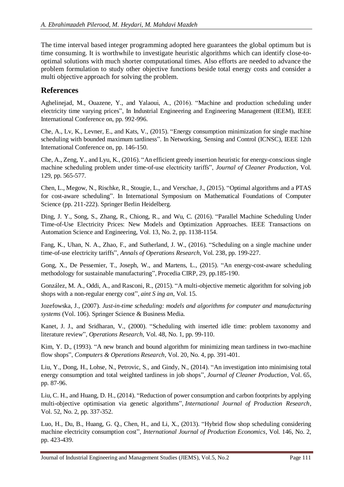The time interval based integer programming adopted here guarantees the global optimum but is time consuming. It is worthwhile to investigate heuristic algorithms which can identify close-tooptimal solutions with much shorter computational times. Also efforts are needed to advance the problem formulation to study other objective functions beside total energy costs and consider a multi objective approach for solving the problem.

### **References**

Aghelinejad, M., Ouazene, Y., and Yalaoui, A., (2016). "Machine and production scheduling under electricity time varying prices", In Industrial Engineering and Engineering Management (IEEM), IEEE International Conference on, pp. 992-996.

Che, A., Lv, K., Levner, E., and Kats, V., (2015). "Energy consumption minimization for single machine scheduling with bounded maximum tardiness". In Networking, Sensing and Control (ICNSC), IEEE 12th International Conference on, pp. 146-150.

Che, A., Zeng, Y., and Lyu, K., (2016). "An efficient greedy insertion heuristic for energy-conscious single machine scheduling problem under time-of-use electricity tariffs", *Journal of Cleaner Production*, Vol. 129, pp. 565-577.

Chen, L., Megow, N., Rischke, R., Stougie, L., and Verschae, J., (2015). "Optimal algorithms and a PTAS for cost-aware scheduling". In International Symposium on Mathematical Foundations of Computer Science (pp. 211-222). Springer Berlin Heidelberg.

Ding, J. Y., Song, S., Zhang, R., Chiong, R., and Wu, C. (2016). "Parallel Machine Scheduling Under Time-of-Use Electricity Prices: New Models and Optimization Approaches. IEEE Transactions on Automation Science and Engineering, Vol. 13, No. 2, pp. 1138-1154.

Fang, K., Uhan, N. A., Zhao, F., and Sutherland, J. W., (2016). "Scheduling on a single machine under time-of-use electricity tariffs", *Annals of Operations Research*, Vol. 238, pp. 199-227.

Gong, X., De Pessemier, T., Joseph, W., and Martens, L., (2015). "An energy-cost-aware scheduling methodology for sustainable manufacturing", Procedia CIRP, 29, pp.185-190.

González, M. A., Oddi, A., and Rasconi, R., (2015). "A multi-objective memetic algorithm for solving job shops with a non-regular energy cost", *aint S ing an*, Vol. 15.

Jozefowska, J., (2007). *Just-in-time scheduling: models and algorithms for computer and manufacturing systems* (Vol. 106). Springer Science & Business Media.

Kanet, J. J., and Sridharan, V., (2000). "Scheduling with inserted idle time: problem taxonomy and literature review", *Operations Research*, Vol. 48, No. 1, pp. 99-110.

Kim, Y. D., (1993). "A new branch and bound algorithm for minimizing mean tardiness in two-machine flow shops", *Computers & Operations Research*, Vol. 20, No. 4, pp. 391-401.

Liu, Y., Dong, H., Lohse, N., Petrovic, S., and Gindy, N., (2014). "An investigation into minimising total energy consumption and total weighted tardiness in job shops", *Journal of Cleaner Production*, Vol. 65, pp. 87-96.

Liu, C. H., and Huang, D. H., (2014). "Reduction of power consumption and carbon footprints by applying multi-objective optimisation via genetic algorithms", *International Journal of Production Research*, Vol. 52, No. 2, pp. 337-352.

Luo, H., Du, B., Huang, G. Q., Chen, H., and Li, X., (2013). "Hybrid flow shop scheduling considering machine electricity consumption cost", *International Journal of Production Economics*, Vol. 146, No. 2, pp. 423-439.